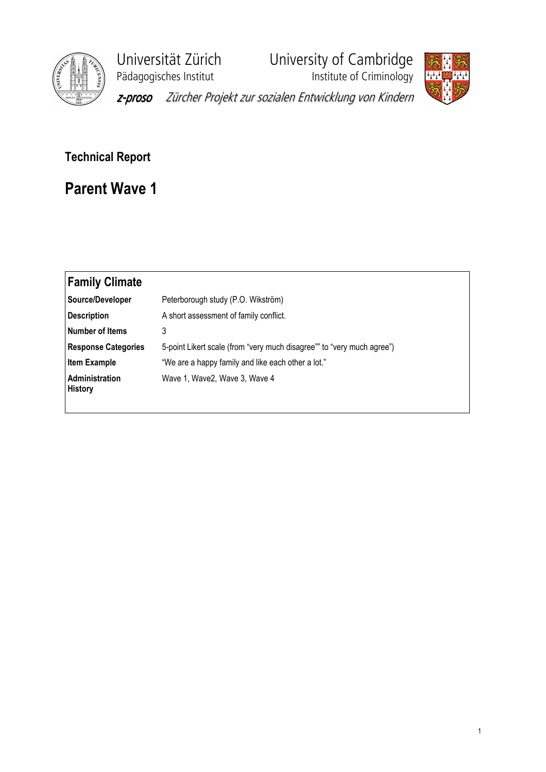

Universität Zürich<br>
Pädagogisches Institut<br>
Institute of Criminology **Paragonisches Institute of Criminology** z-proso Zürcher Projekt zur sozialen Entwicklung von Kindern



Technical Report

Parent Wave 1

| Peterborough study (P.O. Wikström)                                     |
|------------------------------------------------------------------------|
| A short assessment of family conflict.                                 |
| 3                                                                      |
| 5-point Likert scale (from "very much disagree"" to "very much agree") |
| "We are a happy family and like each other a lot."                     |
| Wave 1, Wave 2, Wave 3, Wave 4                                         |
|                                                                        |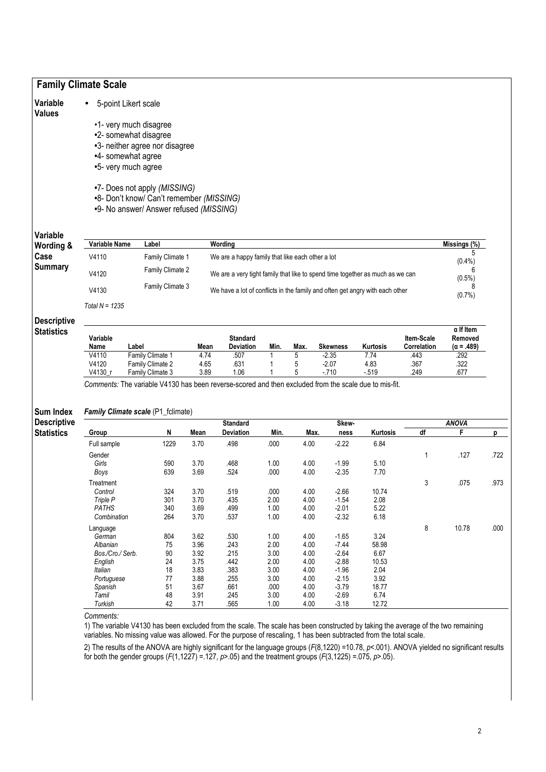|                                         | <b>Family Climate Scale</b> |                                                                                                                           |              |                                                  |              |              |                            |                  |                     |                           |      |
|-----------------------------------------|-----------------------------|---------------------------------------------------------------------------------------------------------------------------|--------------|--------------------------------------------------|--------------|--------------|----------------------------|------------------|---------------------|---------------------------|------|
| Variable<br><b>Values</b>               | 5-point Likert scale        |                                                                                                                           |              |                                                  |              |              |                            |                  |                     |                           |      |
|                                         | •1- very much disagree      |                                                                                                                           |              |                                                  |              |              |                            |                  |                     |                           |      |
|                                         | •2- somewhat disagree       |                                                                                                                           |              |                                                  |              |              |                            |                  |                     |                           |      |
|                                         |                             | •3- neither agree nor disagree                                                                                            |              |                                                  |              |              |                            |                  |                     |                           |      |
|                                         | •4- somewhat agree          |                                                                                                                           |              |                                                  |              |              |                            |                  |                     |                           |      |
|                                         | •5- very much agree         |                                                                                                                           |              |                                                  |              |              |                            |                  |                     |                           |      |
|                                         |                             | .7- Does not apply (MISSING)<br>•8- Don't know/ Can't remember (MISSING)<br>.9- No answer/ Answer refused (MISSING)       |              |                                                  |              |              |                            |                  |                     |                           |      |
| Variable                                |                             |                                                                                                                           |              |                                                  |              |              |                            |                  |                     |                           |      |
| Wording &                               | Variable Name               | Label                                                                                                                     |              | Wording                                          |              |              |                            |                  |                     | Missings (%)              |      |
| Case                                    | V4110                       | Family Climate 1                                                                                                          |              | We are a happy family that like each other a lot |              |              |                            |                  |                     | (0.4% )                   |      |
| <b>Summary</b>                          | V4120                       | Family Climate 2                                                                                                          |              |                                                  |              |              |                            |                  |                     | 6                         |      |
|                                         |                             | We are a very tight family that like to spend time together as much as we can<br>Family Climate 3                         |              |                                                  |              |              |                            |                  | $(0.5\%)$<br>8      |                           |      |
|                                         |                             | V4130<br>We have a lot of conflicts in the family and often get angry with each other                                     |              |                                                  |              |              |                            |                  |                     | (0.7%)                    |      |
|                                         | Total $N = 1235$            |                                                                                                                           |              |                                                  |              |              |                            |                  |                     |                           |      |
| <b>Descriptive</b><br><b>Statistics</b> |                             |                                                                                                                           |              |                                                  |              |              |                            |                  | $\alpha$ If Item    |                           |      |
|                                         | Variable                    |                                                                                                                           |              | <b>Standard</b>                                  |              |              |                            |                  | Item-Scale          | Removed                   |      |
|                                         | Name<br>V4110               | Label<br>Family Climate 1                                                                                                 | Mean<br>4.74 | <b>Deviation</b><br>.507                         | Min.         | Max.<br>5    | <b>Skewness</b><br>$-2.35$ | Kurtosis<br>7.74 | Correlation<br>.443 | $(\alpha = .489)$<br>.292 |      |
|                                         | V4120                       | Family Climate 2                                                                                                          | 4.65         | .631                                             | 1            | 5            | $-2.07$                    | 4.83             | .367                | .322                      |      |
|                                         | V4130_r                     | Family Climate 3<br>Comments: The variable V4130 has been reverse-scored and then excluded from the scale due to mis-fit. | 3.89         | 1.06                                             |              | 5            | $-710$                     | $-519$           | .249                | .677                      |      |
|                                         |                             |                                                                                                                           |              |                                                  |              |              |                            |                  |                     |                           |      |
| <b>Sum Index</b>                        |                             | Family Climate scale (P1_fclimate)                                                                                        |              |                                                  |              |              |                            |                  |                     |                           |      |
| <b>Descriptive</b><br><b>Statistics</b> | Group                       | N                                                                                                                         | Mean         | <b>Standard</b><br><b>Deviation</b>              | Min.         | Max.         | Skew-<br>ness              | Kurtosis         | df                  | <b>ANOVA</b><br>F         | p    |
|                                         | Full sample                 | 1229                                                                                                                      | 3.70         | .498                                             | .000         | 4.00         | $-2.22$                    | 6.84             |                     |                           |      |
|                                         | Gender                      |                                                                                                                           |              |                                                  |              |              |                            |                  | 1                   | .127                      | .722 |
|                                         | Girls                       | 590                                                                                                                       | 3.70         | .468                                             | 1.00         | 4.00         | $-1.99$                    | 5.10             |                     |                           |      |
|                                         | Boys                        | 639                                                                                                                       | 3.69         | .524                                             | .000         | 4.00         | $-2.35$                    | 7.70             |                     |                           |      |
|                                         | Treatment<br>Control        | 324                                                                                                                       | 3.70         | .519                                             | .000         | 4.00         | $-2.66$                    | 10.74            | 3                   | .075                      | 973  |
|                                         | Triple P                    | 301                                                                                                                       | 3.70         | .435                                             | 2.00         | 4.00         | $-1.54$                    | 2.08             |                     |                           |      |
|                                         | <b>PATHS</b>                | 340                                                                                                                       | 3.69         | .499                                             | 1.00         | 4.00         | $-2.01$                    | 5.22             |                     |                           |      |
|                                         | Combination                 | 264                                                                                                                       | 3.70         | .537                                             | 1.00         | 4.00         | $-2.32$                    | 6.18             |                     |                           |      |
|                                         | Language                    |                                                                                                                           |              |                                                  |              |              |                            |                  | 8                   | 10.78                     | .000 |
|                                         | German                      | 804                                                                                                                       | 3.62         | .530                                             | 1.00         | 4.00         | $-1.65$                    | 3.24             |                     |                           |      |
|                                         | Albanian                    | 75                                                                                                                        | 3.96         | .243                                             | 2.00         | 4.00         | $-7.44$                    | 58.98            |                     |                           |      |
|                                         | Bos./Cro./ Serb.<br>English | 90<br>24                                                                                                                  | 3.92<br>3.75 | .215<br>.442                                     | 3.00<br>2.00 | 4.00<br>4.00 | $-2.64$<br>$-2.88$         | 6.67<br>10.53    |                     |                           |      |
|                                         | Italian                     | 18                                                                                                                        | 3.83         | .383                                             | 3.00         | 4.00         | $-1.96$                    | 2.04             |                     |                           |      |
|                                         | Portuguese                  | 77                                                                                                                        | 3.88         | .255                                             | 3.00         | 4.00         | $-2.15$                    | 3.92             |                     |                           |      |
|                                         | Spanish                     | 51                                                                                                                        | 3.67         | .661                                             | .000         | 4.00         | $-3.79$                    | 18.77            |                     |                           |      |
|                                         | Tamil                       | 48                                                                                                                        | 3.91         | .245                                             | 3.00         | 4.00         | $-2.69$                    | 6.74             |                     |                           |      |
|                                         | Turkish                     | 42                                                                                                                        | 3.71         | .565                                             | 1.00         | 4.00         | $-3.18$                    | 12.72            |                     |                           |      |

## Comments:

1) The variable V4130 has been excluded from the scale. The scale has been constructed by taking the average of the two remaining variables. No missing value was allowed. For the purpose of rescaling, 1 has been subtracted from the total scale.

2) The results of the ANOVA are highly significant for the language groups (F(8,1220) =10.78, *p*<.001). ANOVA yielded no significant results for both the gender groups ( $F(1,1227) = 127$ ,  $p > 05$ ) and the treatment groups ( $F(3,1225) = 075$ ,  $p > 05$ ).